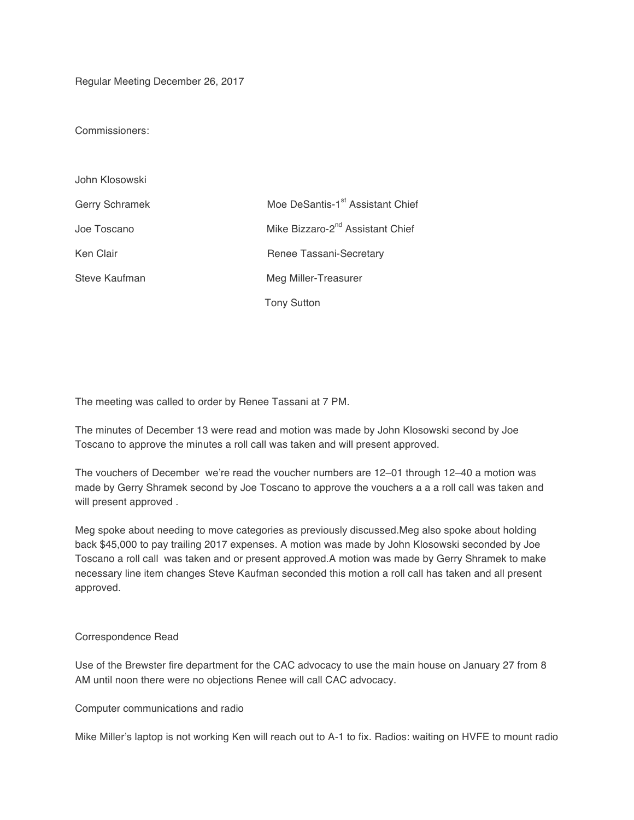Regular Meeting December 26, 2017

Commissioners:

| John Klosowski |                                              |
|----------------|----------------------------------------------|
| Gerry Schramek | Moe DeSantis-1 <sup>st</sup> Assistant Chief |
| Joe Toscano    | Mike Bizzaro-2 <sup>nd</sup> Assistant Chief |
| Ken Clair      | Renee Tassani-Secretary                      |
| Steve Kaufman  | Meg Miller-Treasurer                         |
|                | <b>Tony Sutton</b>                           |

The meeting was called to order by Renee Tassani at 7 PM.

The minutes of December 13 were read and motion was made by John Klosowski second by Joe Toscano to approve the minutes a roll call was taken and will present approved.

The vouchers of December we're read the voucher numbers are 12–01 through 12–40 a motion was made by Gerry Shramek second by Joe Toscano to approve the vouchers a a a roll call was taken and will present approved .

Meg spoke about needing to move categories as previously discussed.Meg also spoke about holding back \$45,000 to pay trailing 2017 expenses. A motion was made by John Klosowski seconded by Joe Toscano a roll call was taken and or present approved.A motion was made by Gerry Shramek to make necessary line item changes Steve Kaufman seconded this motion a roll call has taken and all present approved.

## Correspondence Read

Use of the Brewster fire department for the CAC advocacy to use the main house on January 27 from 8 AM until noon there were no objections Renee will call CAC advocacy.

Computer communications and radio

Mike Miller's laptop is not working Ken will reach out to A-1 to fix. Radios: waiting on HVFE to mount radio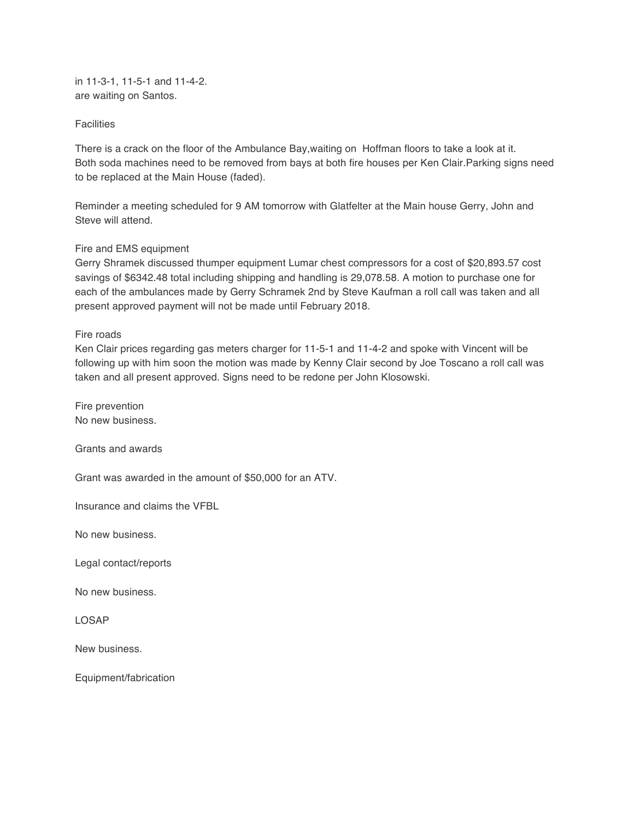in 11-3-1, 11-5-1 and 11-4-2. are waiting on Santos.

## **Facilities**

There is a crack on the floor of the Ambulance Bay,waiting on Hoffman floors to take a look at it. Both soda machines need to be removed from bays at both fire houses per Ken Clair.Parking signs need to be replaced at the Main House (faded).

Reminder a meeting scheduled for 9 AM tomorrow with Glatfelter at the Main house Gerry, John and Steve will attend.

## Fire and EMS equipment

Gerry Shramek discussed thumper equipment Lumar chest compressors for a cost of \$20,893.57 cost savings of \$6342.48 total including shipping and handling is 29,078.58. A motion to purchase one for each of the ambulances made by Gerry Schramek 2nd by Steve Kaufman a roll call was taken and all present approved payment will not be made until February 2018.

## Fire roads

Ken Clair prices regarding gas meters charger for 11-5-1 and 11-4-2 and spoke with Vincent will be following up with him soon the motion was made by Kenny Clair second by Joe Toscano a roll call was taken and all present approved. Signs need to be redone per John Klosowski.

Fire prevention No new business.

Grants and awards

Grant was awarded in the amount of \$50,000 for an ATV.

Insurance and claims the VFBL

No new business.

Legal contact/reports

No new business.

LOSAP

New business.

Equipment/fabrication